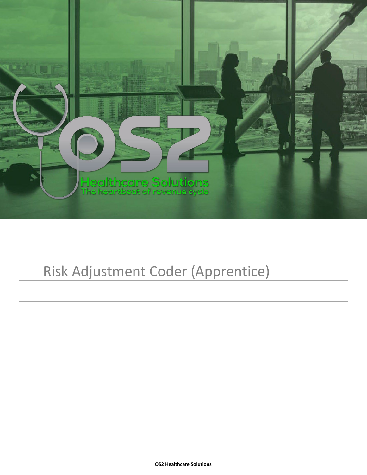

# Risk Adjustment Coder (Apprentice)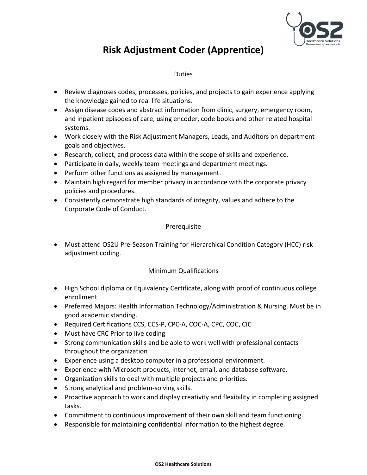

## **Risk Adjustment Coder (Apprentice)**

#### Duties

- Review diagnoses codes, processes, policies, and projects to gain experience applying the knowledge gained to real life situations.
- Assign disease codes and abstract information from clinic, surgery, emergency room, and inpatient episodes of care, using encoder, code books and other related hospital systems.
- Work closely with the Risk Adjustment Managers, Leads, and Auditors on department goals and objectives.
- Research, collect, and process data within the scope of skills and experience.
- Participate in daily, weekly team meetings and department meetings.
- Perform other functions as assigned by management.
- Maintain high regard for member privacy in accordance with the corporate privacy policies and procedures.
- Consistently demonstrate high standards of integrity, values and adhere to the Corporate Code of Conduct.

#### Prerequisite

• Must attend OS2U Pre-Season Training for Hierarchical Condition Category (HCC) risk adjustment coding.

### Minimum Qualifications

- High School diploma or Equivalency Certificate, along with proof of continuous college enrollment.
- Preferred Majors: Health Information Technology/Administration & Nursing. Must be in good academic standing.
- Required Certifications CCS, CCS-P, CPC-A, COC-A, CPC, COC, CIC
- Must have CRC Prior to live coding
- Strong communication skills and be able to work well with professional contacts throughout the organization
- Experience using a desktop computer in a professional environment.
- Experience with Microsoft products, internet, email, and database software.
- Organization skills to deal with multiple projects and priorities.
- Strong analytical and problem-solving skills.
- Proactive approach to work and display creativity and flexibility in completing assigned tasks.
- Commitment to continuous improvement of their own skill and team functioning.
- Responsible for maintaining confidential information to the highest degree.

#### **OS2 Healthcare Solutions**